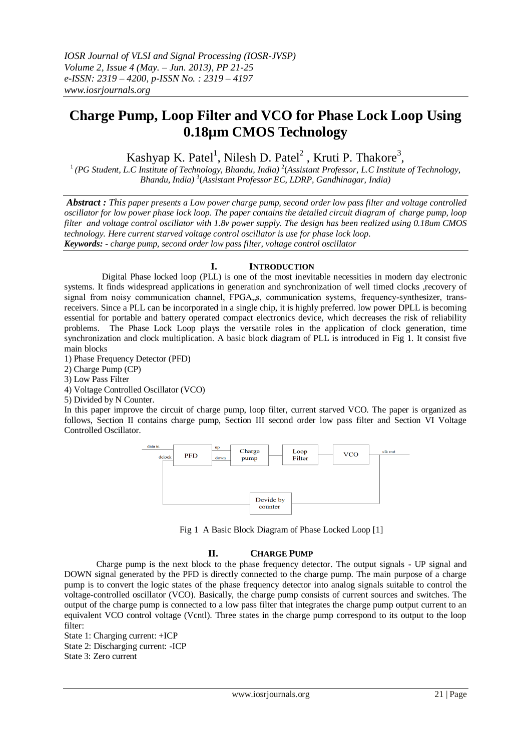# **Charge Pump, Loop Filter and VCO for Phase Lock Loop Using 0.18µm CMOS Technology**

Kashyap K. Patel<sup>1</sup>, Nilesh D. Patel<sup>2</sup>, Kruti P. Thakore<sup>3</sup>,

<sup>1</sup> (PG Student, L.C Institute of Technology, Bhandu, India)<sup>2</sup> (Assistant Professor, L.C Institute of Technology, *Bhandu, India)* <sup>3</sup> (*Assistant Professor EC, LDRP, Gandhinagar, India)*

*Abstract : This paper presents a Low power charge pump, second order low pass filter and voltage controlled oscillator for low power phase lock loop. The paper contains the detailed circuit diagram of charge pump, loop filter and voltage control oscillator with 1.8v power supply. The design has been realized using 0.18um CMOS technology. Here current starved voltage control oscillator is use for phase lock loop. Keywords: - charge pump, second order low pass filter, voltage control oscillator*

# **I. INTRODUCTION**

 Digital Phase locked loop (PLL) is one of the most inevitable necessities in modern day electronic systems. It finds widespread applications in generation and synchronization of well timed clocks ,recovery of signal from noisy communication channel, FPGA, s, communication systems, frequency-synthesizer, transreceivers. Since a PLL can be incorporated in a single chip, it is highly preferred. low power DPLL is becoming essential for portable and battery operated compact electronics device, which decreases the risk of reliability problems. The Phase Lock Loop plays the versatile roles in the application of clock generation, time synchronization and clock multiplication. A basic block diagram of PLL is introduced in Fig 1. It consist five main blocks

1) Phase Frequency Detector (PFD)

2) Charge Pump (CP)

3) Low Pass Filter

4) Voltage Controlled Oscillator (VCO)

5) Divided by N Counter.

In this paper improve the circuit of charge pump, loop filter, current starved VCO. The paper is organized as follows, Section II contains charge pump, Section III second order low pass filter and Section VI Voltage Controlled Oscillator.



Fig 1 A Basic Block Diagram of Phase Locked Loop [1]

# **II. CHARGE PUMP**

Charge pump is the next block to the phase frequency detector. The output signals - UP signal and DOWN signal generated by the PFD is directly connected to the charge pump. The main purpose of a charge pump is to convert the logic states of the phase frequency detector into analog signals suitable to control the voltage-controlled oscillator (VCO). Basically, the charge pump consists of current sources and switches. The output of the charge pump is connected to a low pass filter that integrates the charge pump output current to an equivalent VCO control voltage (Vcntl). Three states in the charge pump correspond to its output to the loop filter:

State 1: Charging current: +ICP State 2: Discharging current: -ICP State 3: Zero current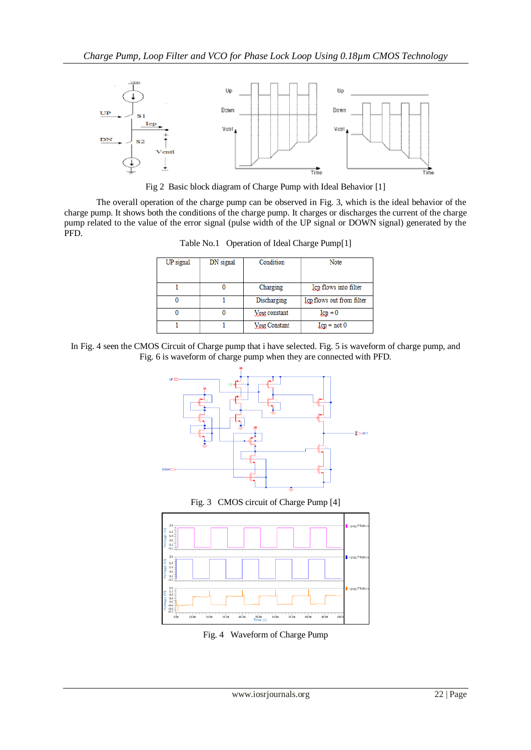

Fig 2 Basic block diagram of Charge Pump with Ideal Behavior [1]

The overall operation of the charge pump can be observed in Fig. 3, which is the ideal behavior of the charge pump. It shows both the conditions of the charge pump. It charges or discharges the current of the charge pump related to the value of the error signal (pulse width of the UP signal or DOWN signal) generated by the PFD.

Table No.1 Operation of Ideal Charge Pump[1]

| UP signal | DN signal | Condition            | Note                      |
|-----------|-----------|----------------------|---------------------------|
|           |           | Charging             | Icp flows into filter     |
|           |           | Discharging          | Icp flows out from filter |
|           |           | <b>Vout</b> constant | $I_{\rm CP} = 0$          |
|           |           | <b>Vout Constant</b> | $I_{CP} = not 0$          |

In Fig. 4 seen the CMOS Circuit of Charge pump that i have selected. Fig. 5 is waveform of charge pump, and Fig. 6 is waveform of charge pump when they are connected with PFD.



Fig. 3 CMOS circuit of Charge Pump [4]



Fig. 4 Waveform of Charge Pump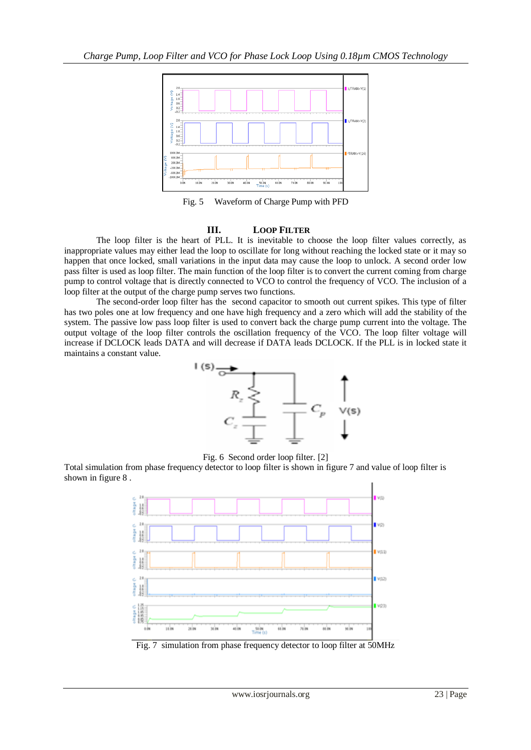

Fig. 5 Waveform of Charge Pump with PFD

#### **III. LOOP FILTER**

The loop filter is the heart of PLL. It is inevitable to choose the loop filter values correctly, as inappropriate values may either lead the loop to oscillate for long without reaching the locked state or it may so happen that once locked, small variations in the input data may cause the loop to unlock. A second order low pass filter is used as loop filter. The main function of the loop filter is to convert the current coming from charge pump to control voltage that is directly connected to VCO to control the frequency of VCO. The inclusion of a loop filter at the output of the charge pump serves two functions.

The second-order loop filter has the second capacitor to smooth out current spikes. This type of filter has two poles one at low frequency and one have high frequency and a zero which will add the stability of the system. The passive low pass loop filter is used to convert back the charge pump current into the voltage. The output voltage of the loop filter controls the oscillation frequency of the VCO. The loop filter voltage will increase if DCLOCK leads DATA and will decrease if DATA leads DCLOCK. If the PLL is in locked state it maintains a constant value.



Fig. 6 Second order loop filter. [2]

Total simulation from phase frequency detector to loop filter is shown in figure 7 and value of loop filter is shown in figure 8 .



Fig. 7simulation from phase frequency detector to loop filter at 50MHz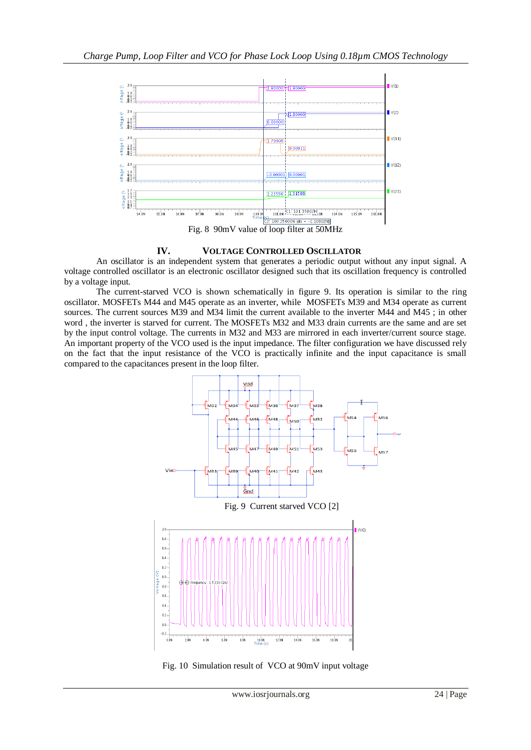

### **IV. VOLTAGE CONTROLLED OSCILLATOR**

An oscillator is an independent system that generates a periodic output without any input signal. A voltage controlled oscillator is an electronic oscillator designed such that its oscillation frequency is controlled by a voltage input.

The current-starved VCO is shown schematically in figure 9. Its operation is similar to the ring oscillator. MOSFETs M44 and M45 operate as an inverter, while MOSFETs M39 and M34 operate as current sources. The current sources M39 and M34 limit the current available to the inverter M44 and M45 ; in other word , the inverter is starved for current. The MOSFETs M32 and M33 drain currents are the same and are set by the input control voltage. The currents in M32 and M33 are mirrored in each inverter/current source stage. An important property of the VCO used is the input impedance. The filter configuration we have discussed rely on the fact that the input resistance of the VCO is practically infinite and the input capacitance is small compared to the capacitances present in the loop filter.



Fig. 10 Simulation result of VCO at 90mV input voltage